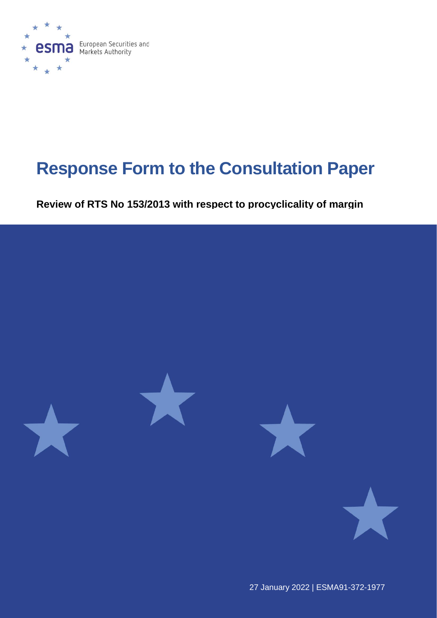

# **Response Form to the Consultation Paper**

**Review of RTS No 153/2013 with respect to procyclicality of margin** 



27 January 2022 | ESMA91-372-1977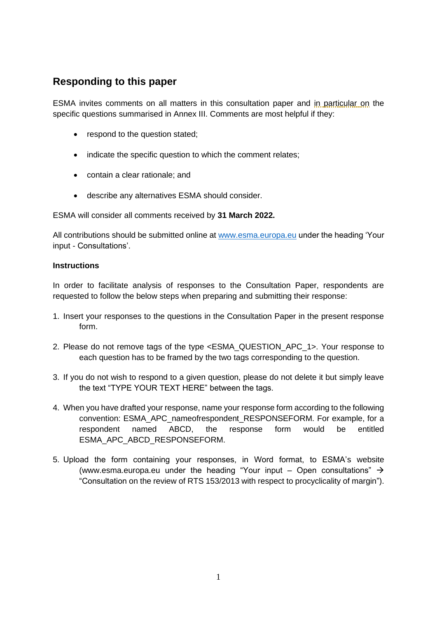# **Responding to this paper**

ESMA invites comments on all matters in this consultation paper and in particular on the specific questions summarised in Annex III. Comments are most helpful if they:

- respond to the question stated;
- indicate the specific question to which the comment relates;
- contain a clear rationale; and
- describe any alternatives ESMA should consider.

ESMA will consider all comments received by **31 March 2022.**

All contributions should be submitted online at [www.esma.europa.eu](http://www.esma.europa.eu/) under the heading 'Your input - Consultations'.

#### **Instructions**

In order to facilitate analysis of responses to the Consultation Paper, respondents are requested to follow the below steps when preparing and submitting their response:

- 1. Insert your responses to the questions in the Consultation Paper in the present response form.
- 2. Please do not remove tags of the type <ESMA\_QUESTION\_APC\_1>. Your response to each question has to be framed by the two tags corresponding to the question.
- 3. If you do not wish to respond to a given question, please do not delete it but simply leave the text "TYPE YOUR TEXT HERE" between the tags.
- 4. When you have drafted your response, name your response form according to the following convention: ESMA\_APC\_nameofrespondent\_RESPONSEFORM. For example, for a respondent named ABCD, the response form would be entitled ESMA\_APC\_ABCD\_RESPONSEFORM.
- 5. Upload the form containing your responses, in Word format, to ESMA's website [\(www.esma.europa.eu](http://www.esma.europa.eu/) under the heading "Your input – Open consultations"  $\rightarrow$ "Consultation on the review of RTS 153/2013 with respect to procyclicality of margin").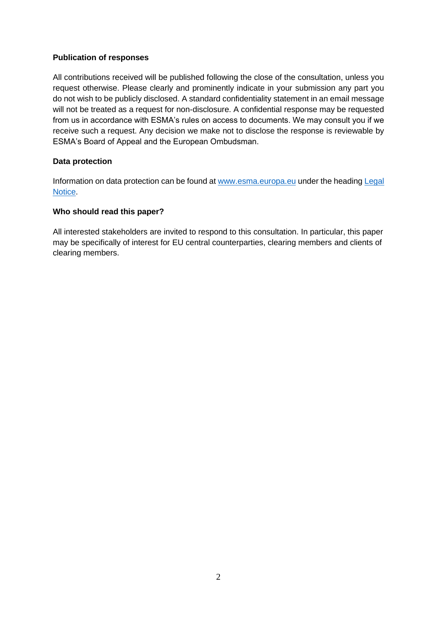#### **Publication of responses**

All contributions received will be published following the close of the consultation, unless you request otherwise. Please clearly and prominently indicate in your submission any part you do not wish to be publicly disclosed. A standard confidentiality statement in an email message will not be treated as a request for non-disclosure. A confidential response may be requested from us in accordance with ESMA's rules on access to documents. We may consult you if we receive such a request. Any decision we make not to disclose the response is reviewable by ESMA's Board of Appeal and the European Ombudsman.

#### **Data protection**

Information on data protection can be found at [www.esma.europa.eu](http://www.esma.europa.eu/) under the headin[g Legal](http://www.esma.europa.eu/legal-notice)  [Notice.](http://www.esma.europa.eu/legal-notice)

#### **Who should read this paper?**

All interested stakeholders are invited to respond to this consultation. In particular, this paper may be specifically of interest for EU central counterparties, clearing members and clients of clearing members.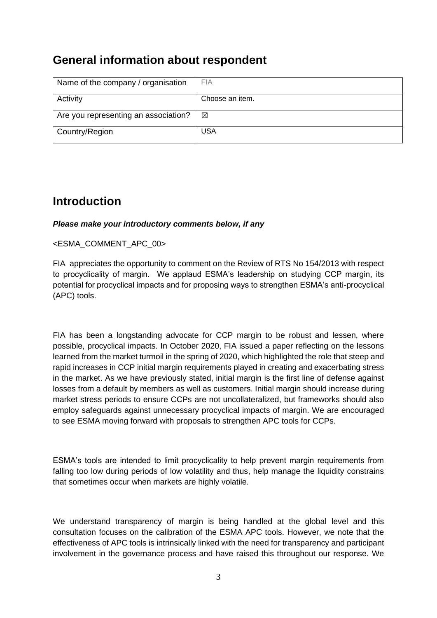# **General information about respondent**

| Name of the company / organisation   | <b>FIA</b>      |
|--------------------------------------|-----------------|
| Activity                             | Choose an item. |
| Are you representing an association? | $\boxtimes$     |
| Country/Region                       | <b>USA</b>      |

# **Introduction**

#### *Please make your introductory comments below, if any*

#### <ESMA\_COMMENT\_APC\_00>

FIA appreciates the opportunity to comment on the Review of RTS No 154/2013 with respect to procyclicality of margin. We applaud ESMA's leadership on studying CCP margin, its potential for procyclical impacts and for proposing ways to strengthen ESMA's anti-procyclical (APC) tools.

FIA has been a longstanding advocate for CCP margin to be robust and lessen, where possible, procyclical impacts. In October 2020, FIA issued a paper reflecting on the lessons learned from the market turmoil in the spring of 2020, which highlighted the role that steep and rapid increases in CCP initial margin requirements played in creating and exacerbating stress in the market. As we have previously stated, initial margin is the first line of defense against losses from a default by members as well as customers. Initial margin should increase during market stress periods to ensure CCPs are not uncollateralized, but frameworks should also employ safeguards against unnecessary procyclical impacts of margin. We are encouraged to see ESMA moving forward with proposals to strengthen APC tools for CCPs.

ESMA's tools are intended to limit procyclicality to help prevent margin requirements from falling too low during periods of low volatility and thus, help manage the liquidity constrains that sometimes occur when markets are highly volatile.

We understand transparency of margin is being handled at the global level and this consultation focuses on the calibration of the ESMA APC tools. However, we note that the effectiveness of APC tools is intrinsically linked with the need for transparency and participant involvement in the governance process and have raised this throughout our response. We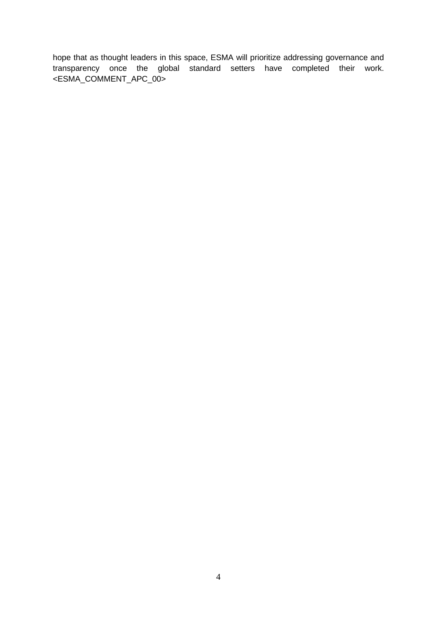hope that as thought leaders in this space, ESMA will prioritize addressing governance and transparency once the global standard setters have completed their work. <ESMA\_COMMENT\_APC\_00>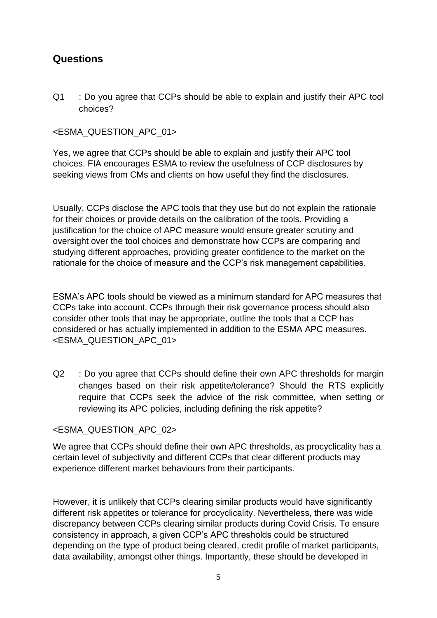# **Questions**

Q1 : Do you agree that CCPs should be able to explain and justify their APC tool choices?

# <ESMA\_QUESTION\_APC\_01>

Yes, we agree that CCPs should be able to explain and justify their APC tool choices. FIA encourages ESMA to review the usefulness of CCP disclosures by seeking views from CMs and clients on how useful they find the disclosures.

Usually, CCPs disclose the APC tools that they use but do not explain the rationale for their choices or provide details on the calibration of the tools. Providing a justification for the choice of APC measure would ensure greater scrutiny and oversight over the tool choices and demonstrate how CCPs are comparing and studying different approaches, providing greater confidence to the market on the rationale for the choice of measure and the CCP's risk management capabilities.

ESMA's APC tools should be viewed as a minimum standard for APC measures that CCPs take into account. CCPs through their risk governance process should also consider other tools that may be appropriate, outline the tools that a CCP has considered or has actually implemented in addition to the ESMA APC measures. <ESMA\_QUESTION\_APC\_01>

Q2 : Do you agree that CCPs should define their own APC thresholds for margin changes based on their risk appetite/tolerance? Should the RTS explicitly require that CCPs seek the advice of the risk committee, when setting or reviewing its APC policies, including defining the risk appetite?

### <ESMA\_QUESTION\_APC\_02>

We agree that CCPs should define their own APC thresholds, as procyclicality has a certain level of subjectivity and different CCPs that clear different products may experience different market behaviours from their participants.

However, it is unlikely that CCPs clearing similar products would have significantly different risk appetites or tolerance for procyclicality. Nevertheless, there was wide discrepancy between CCPs clearing similar products during Covid Crisis. To ensure consistency in approach, a given CCP's APC thresholds could be structured depending on the type of product being cleared, credit profile of market participants, data availability, amongst other things. Importantly, these should be developed in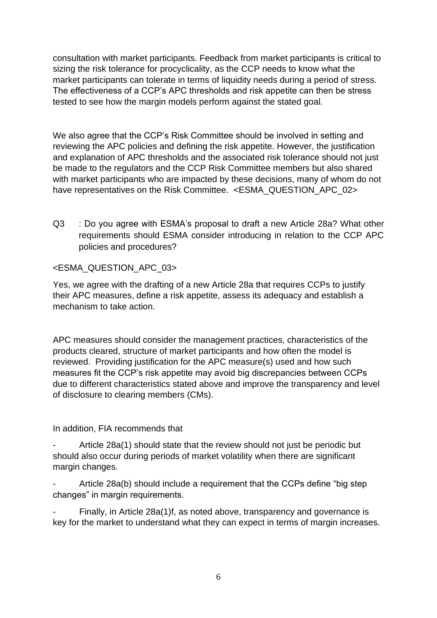consultation with market participants. Feedback from market participants is critical to sizing the risk tolerance for procyclicality, as the CCP needs to know what the market participants can tolerate in terms of liquidity needs during a period of stress. The effectiveness of a CCP's APC thresholds and risk appetite can then be stress tested to see how the margin models perform against the stated goal.

We also agree that the CCP's Risk Committee should be involved in setting and reviewing the APC policies and defining the risk appetite. However, the justification and explanation of APC thresholds and the associated risk tolerance should not just be made to the regulators and the CCP Risk Committee members but also shared with market participants who are impacted by these decisions, many of whom do not have representatives on the Risk Committee. <ESMA\_QUESTION\_APC\_02>

Q3 : Do you agree with ESMA's proposal to draft a new Article 28a? What other requirements should ESMA consider introducing in relation to the CCP APC policies and procedures?

# <ESMA\_QUESTION\_APC\_03>

Yes, we agree with the drafting of a new Article 28a that requires CCPs to justify their APC measures, define a risk appetite, assess its adequacy and establish a mechanism to take action.

APC measures should consider the management practices, characteristics of the products cleared, structure of market participants and how often the model is reviewed. Providing justification for the APC measure(s) used and how such measures fit the CCP's risk appetite may avoid big discrepancies between CCPs due to different characteristics stated above and improve the transparency and level of disclosure to clearing members (CMs).

In addition, FIA recommends that

Article 28a(1) should state that the review should not just be periodic but should also occur during periods of market volatility when there are significant margin changes.

Article 28a(b) should include a requirement that the CCPs define "big step changes" in margin requirements.

Finally, in Article 28a(1)f, as noted above, transparency and governance is key for the market to understand what they can expect in terms of margin increases.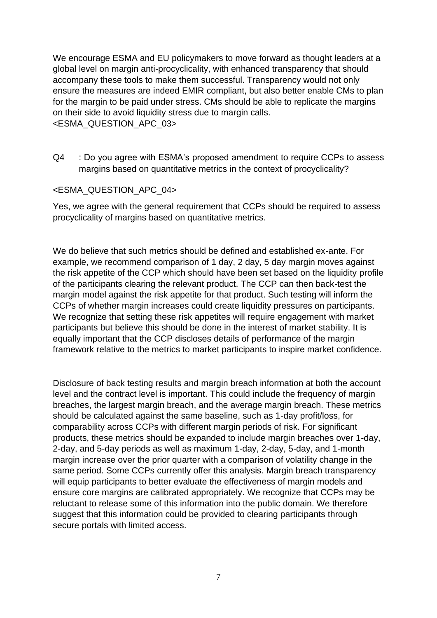We encourage ESMA and EU policymakers to move forward as thought leaders at a global level on margin anti-procyclicality, with enhanced transparency that should accompany these tools to make them successful. Transparency would not only ensure the measures are indeed EMIR compliant, but also better enable CMs to plan for the margin to be paid under stress. CMs should be able to replicate the margins on their side to avoid liquidity stress due to margin calls. <ESMA\_QUESTION\_APC\_03>

Q4 : Do you agree with ESMA's proposed amendment to require CCPs to assess margins based on quantitative metrics in the context of procyclicality?

#### <ESMA\_QUESTION\_APC\_04>

Yes, we agree with the general requirement that CCPs should be required to assess procyclicality of margins based on quantitative metrics.

We do believe that such metrics should be defined and established ex-ante. For example, we recommend comparison of 1 day, 2 day, 5 day margin moves against the risk appetite of the CCP which should have been set based on the liquidity profile of the participants clearing the relevant product. The CCP can then back-test the margin model against the risk appetite for that product. Such testing will inform the CCPs of whether margin increases could create liquidity pressures on participants. We recognize that setting these risk appetites will require engagement with market participants but believe this should be done in the interest of market stability. It is equally important that the CCP discloses details of performance of the margin framework relative to the metrics to market participants to inspire market confidence.

Disclosure of back testing results and margin breach information at both the account level and the contract level is important. This could include the frequency of margin breaches, the largest margin breach, and the average margin breach. These metrics should be calculated against the same baseline, such as 1-day profit/loss, for comparability across CCPs with different margin periods of risk. For significant products, these metrics should be expanded to include margin breaches over 1-day, 2-day, and 5-day periods as well as maximum 1-day, 2-day, 5-day, and 1-month margin increase over the prior quarter with a comparison of volatility change in the same period. Some CCPs currently offer this analysis. Margin breach transparency will equip participants to better evaluate the effectiveness of margin models and ensure core margins are calibrated appropriately. We recognize that CCPs may be reluctant to release some of this information into the public domain. We therefore suggest that this information could be provided to clearing participants through secure portals with limited access.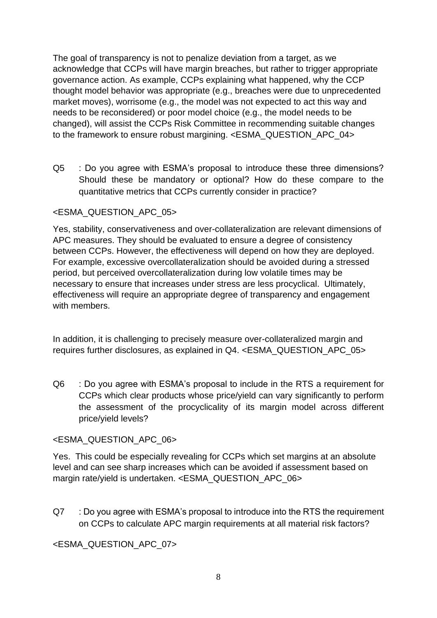The goal of transparency is not to penalize deviation from a target, as we acknowledge that CCPs will have margin breaches, but rather to trigger appropriate governance action. As example, CCPs explaining what happened, why the CCP thought model behavior was appropriate (e.g., breaches were due to unprecedented market moves), worrisome (e.g., the model was not expected to act this way and needs to be reconsidered) or poor model choice (e.g., the model needs to be changed), will assist the CCPs Risk Committee in recommending suitable changes to the framework to ensure robust margining. <ESMA\_QUESTION\_APC\_04>

Q5 : Do you agree with ESMA's proposal to introduce these three dimensions? Should these be mandatory or optional? How do these compare to the quantitative metrics that CCPs currently consider in practice?

### <ESMA\_QUESTION\_APC\_05>

Yes, stability, conservativeness and over-collateralization are relevant dimensions of APC measures. They should be evaluated to ensure a degree of consistency between CCPs. However, the effectiveness will depend on how they are deployed. For example, excessive overcollateralization should be avoided during a stressed period, but perceived overcollateralization during low volatile times may be necessary to ensure that increases under stress are less procyclical. Ultimately, effectiveness will require an appropriate degree of transparency and engagement with members.

In addition, it is challenging to precisely measure over-collateralized margin and requires further disclosures, as explained in Q4. <ESMA\_QUESTION\_APC\_05>

Q6 : Do you agree with ESMA's proposal to include in the RTS a requirement for CCPs which clear products whose price/yield can vary significantly to perform the assessment of the procyclicality of its margin model across different price/yield levels?

### <ESMA\_QUESTION\_APC\_06>

Yes. This could be especially revealing for CCPs which set margins at an absolute level and can see sharp increases which can be avoided if assessment based on margin rate/yield is undertaken. <ESMA\_QUESTION\_APC\_06>

Q7 : Do you agree with ESMA's proposal to introduce into the RTS the requirement on CCPs to calculate APC margin requirements at all material risk factors?

<ESMA\_QUESTION\_APC\_07>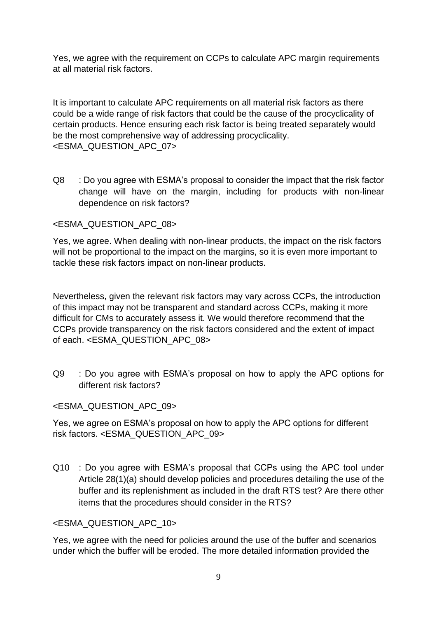Yes, we agree with the requirement on CCPs to calculate APC margin requirements at all material risk factors.

It is important to calculate APC requirements on all material risk factors as there could be a wide range of risk factors that could be the cause of the procyclicality of certain products. Hence ensuring each risk factor is being treated separately would be the most comprehensive way of addressing procyclicality. <ESMA\_QUESTION\_APC\_07>

Q8 : Do you agree with ESMA's proposal to consider the impact that the risk factor change will have on the margin, including for products with non-linear dependence on risk factors?

# <ESMA\_QUESTION\_APC\_08>

Yes, we agree. When dealing with non-linear products, the impact on the risk factors will not be proportional to the impact on the margins, so it is even more important to tackle these risk factors impact on non-linear products.

Nevertheless, given the relevant risk factors may vary across CCPs, the introduction of this impact may not be transparent and standard across CCPs, making it more difficult for CMs to accurately assess it. We would therefore recommend that the CCPs provide transparency on the risk factors considered and the extent of impact of each. <ESMA\_QUESTION\_APC\_08>

Q9 : Do you agree with ESMA's proposal on how to apply the APC options for different risk factors?

### <ESMA\_QUESTION\_APC\_09>

Yes, we agree on ESMA's proposal on how to apply the APC options for different risk factors. <ESMA\_QUESTION\_APC\_09>

Q10 : Do you agree with ESMA's proposal that CCPs using the APC tool under Article 28(1)(a) should develop policies and procedures detailing the use of the buffer and its replenishment as included in the draft RTS test? Are there other items that the procedures should consider in the RTS?

### <ESMA\_QUESTION\_APC\_10>

Yes, we agree with the need for policies around the use of the buffer and scenarios under which the buffer will be eroded. The more detailed information provided the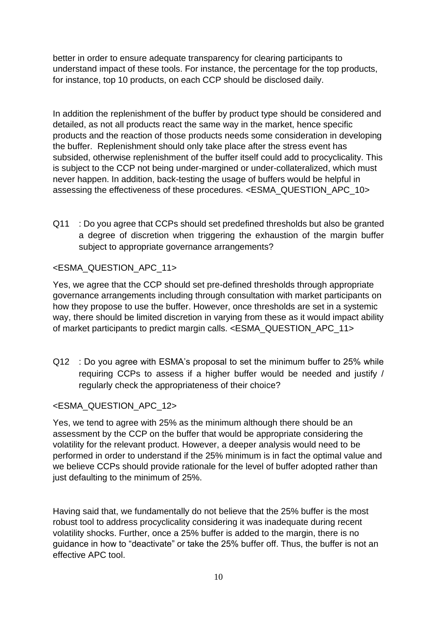better in order to ensure adequate transparency for clearing participants to understand impact of these tools. For instance, the percentage for the top products, for instance, top 10 products, on each CCP should be disclosed daily.

In addition the replenishment of the buffer by product type should be considered and detailed, as not all products react the same way in the market, hence specific products and the reaction of those products needs some consideration in developing the buffer. Replenishment should only take place after the stress event has subsided, otherwise replenishment of the buffer itself could add to procyclicality. This is subject to the CCP not being under-margined or under-collateralized, which must never happen. In addition, back-testing the usage of buffers would be helpful in assessing the effectiveness of these procedures. <ESMA\_QUESTION\_APC\_10>

Q11 : Do you agree that CCPs should set predefined thresholds but also be granted a degree of discretion when triggering the exhaustion of the margin buffer subject to appropriate governance arrangements?

# <ESMA\_QUESTION\_APC\_11>

Yes, we agree that the CCP should set pre-defined thresholds through appropriate governance arrangements including through consultation with market participants on how they propose to use the buffer. However, once thresholds are set in a systemic way, there should be limited discretion in varying from these as it would impact ability of market participants to predict margin calls. <ESMA\_QUESTION\_APC\_11>

Q12 : Do you agree with ESMA's proposal to set the minimum buffer to 25% while requiring CCPs to assess if a higher buffer would be needed and justify / regularly check the appropriateness of their choice?

### <ESMA\_QUESTION\_APC\_12>

Yes, we tend to agree with 25% as the minimum although there should be an assessment by the CCP on the buffer that would be appropriate considering the volatility for the relevant product. However, a deeper analysis would need to be performed in order to understand if the 25% minimum is in fact the optimal value and we believe CCPs should provide rationale for the level of buffer adopted rather than just defaulting to the minimum of 25%.

Having said that, we fundamentally do not believe that the 25% buffer is the most robust tool to address procyclicality considering it was inadequate during recent volatility shocks. Further, once a 25% buffer is added to the margin, there is no guidance in how to "deactivate" or take the 25% buffer off. Thus, the buffer is not an effective APC tool.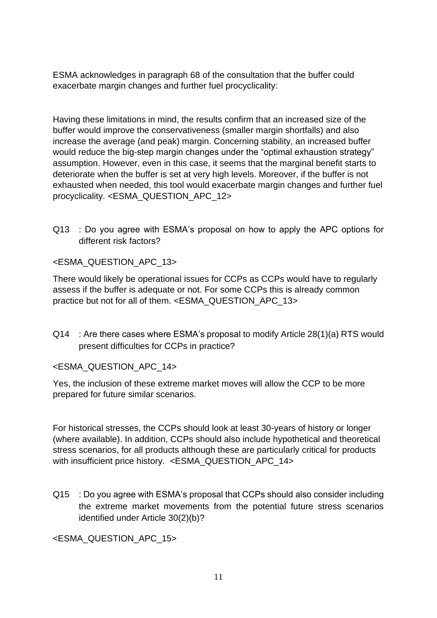ESMA acknowledges in paragraph 68 of the consultation that the buffer could exacerbate margin changes and further fuel procyclicality:

Having these limitations in mind, the results confirm that an increased size of the buffer would improve the conservativeness (smaller margin shortfalls) and also increase the average (and peak) margin. Concerning stability, an increased buffer would reduce the big-step margin changes under the "optimal exhaustion strategy" assumption. However, even in this case, it seems that the marginal benefit starts to deteriorate when the buffer is set at very high levels. Moreover, if the buffer is not exhausted when needed, this tool would exacerbate margin changes and further fuel procyclicality. <ESMA\_QUESTION\_APC\_12>

Q13 : Do you agree with ESMA's proposal on how to apply the APC options for different risk factors?

#### <ESMA\_QUESTION\_APC\_13>

There would likely be operational issues for CCPs as CCPs would have to regularly assess if the buffer is adequate or not. For some CCPs this is already common practice but not for all of them. <ESMA\_QUESTION\_APC\_13>

Q14 : Are there cases where ESMA's proposal to modify Article 28(1)(a) RTS would present difficulties for CCPs in practice?

<ESMA\_QUESTION\_APC\_14>

Yes, the inclusion of these extreme market moves will allow the CCP to be more prepared for future similar scenarios.

For historical stresses, the CCPs should look at least 30-years of history or longer (where available). In addition, CCPs should also include hypothetical and theoretical stress scenarios, for all products although these are particularly critical for products with insufficient price history. <ESMA\_QUESTION\_APC\_14>

Q15 : Do you agree with ESMA's proposal that CCPs should also consider including the extreme market movements from the potential future stress scenarios identified under Article 30(2)(b)?

<ESMA\_QUESTION\_APC\_15>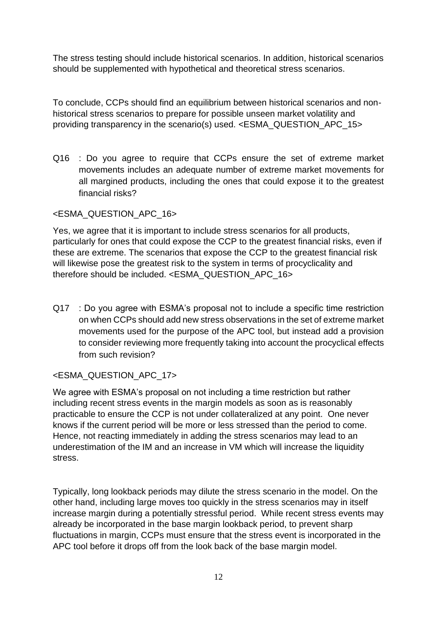The stress testing should include historical scenarios. In addition, historical scenarios should be supplemented with hypothetical and theoretical stress scenarios.

To conclude, CCPs should find an equilibrium between historical scenarios and nonhistorical stress scenarios to prepare for possible unseen market volatility and providing transparency in the scenario(s) used. <ESMA\_QUESTION\_APC\_15>

Q16 : Do you agree to require that CCPs ensure the set of extreme market movements includes an adequate number of extreme market movements for all margined products, including the ones that could expose it to the greatest financial risks?

# <ESMA\_QUESTION\_APC\_16>

Yes, we agree that it is important to include stress scenarios for all products, particularly for ones that could expose the CCP to the greatest financial risks, even if these are extreme. The scenarios that expose the CCP to the greatest financial risk will likewise pose the greatest risk to the system in terms of procyclicality and therefore should be included. <ESMA\_QUESTION\_APC\_16>

Q17 : Do you agree with ESMA's proposal not to include a specific time restriction on when CCPs should add new stress observations in the set of extreme market movements used for the purpose of the APC tool, but instead add a provision to consider reviewing more frequently taking into account the procyclical effects from such revision?

# <ESMA\_QUESTION\_APC\_17>

We agree with ESMA's proposal on not including a time restriction but rather including recent stress events in the margin models as soon as is reasonably practicable to ensure the CCP is not under collateralized at any point. One never knows if the current period will be more or less stressed than the period to come. Hence, not reacting immediately in adding the stress scenarios may lead to an underestimation of the IM and an increase in VM which will increase the liquidity stress.

Typically, long lookback periods may dilute the stress scenario in the model. On the other hand, including large moves too quickly in the stress scenarios may in itself increase margin during a potentially stressful period. While recent stress events may already be incorporated in the base margin lookback period, to prevent sharp fluctuations in margin, CCPs must ensure that the stress event is incorporated in the APC tool before it drops off from the look back of the base margin model.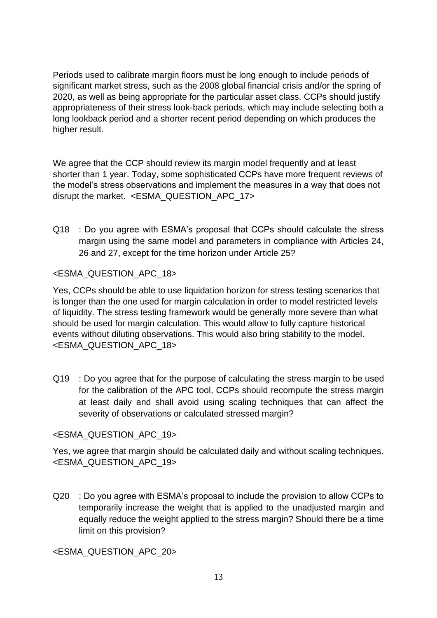Periods used to calibrate margin floors must be long enough to include periods of significant market stress, such as the 2008 global financial crisis and/or the spring of 2020, as well as being appropriate for the particular asset class. CCPs should justify appropriateness of their stress look-back periods, which may include selecting both a long lookback period and a shorter recent period depending on which produces the higher result.

We agree that the CCP should review its margin model frequently and at least shorter than 1 year. Today, some sophisticated CCPs have more frequent reviews of the model's stress observations and implement the measures in a way that does not disrupt the market. <ESMA\_QUESTION\_APC\_17>

Q18 : Do you agree with ESMA's proposal that CCPs should calculate the stress margin using the same model and parameters in compliance with Articles 24, 26 and 27, except for the time horizon under Article 25?

### <ESMA\_QUESTION\_APC\_18>

Yes, CCPs should be able to use liquidation horizon for stress testing scenarios that is longer than the one used for margin calculation in order to model restricted levels of liquidity. The stress testing framework would be generally more severe than what should be used for margin calculation. This would allow to fully capture historical events without diluting observations. This would also bring stability to the model. <ESMA\_QUESTION\_APC\_18>

Q19 : Do you agree that for the purpose of calculating the stress margin to be used for the calibration of the APC tool, CCPs should recompute the stress margin at least daily and shall avoid using scaling techniques that can affect the severity of observations or calculated stressed margin?

### <ESMA\_QUESTION\_APC\_19>

Yes, we agree that margin should be calculated daily and without scaling techniques. <ESMA\_QUESTION\_APC\_19>

Q20 : Do you agree with ESMA's proposal to include the provision to allow CCPs to temporarily increase the weight that is applied to the unadjusted margin and equally reduce the weight applied to the stress margin? Should there be a time limit on this provision?

<ESMA\_QUESTION\_APC\_20>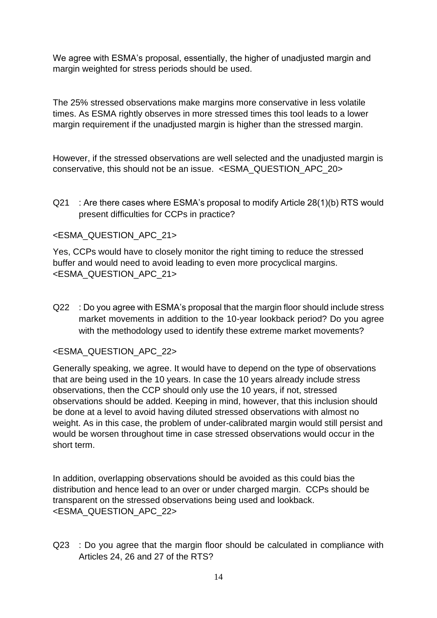We agree with ESMA's proposal, essentially, the higher of unadjusted margin and margin weighted for stress periods should be used.

The 25% stressed observations make margins more conservative in less volatile times. As ESMA rightly observes in more stressed times this tool leads to a lower margin requirement if the unadjusted margin is higher than the stressed margin.

However, if the stressed observations are well selected and the unadjusted margin is conservative, this should not be an issue. <ESMA\_QUESTION\_APC\_20>

Q21 : Are there cases where ESMA's proposal to modify Article 28(1)(b) RTS would present difficulties for CCPs in practice?

# <ESMA\_QUESTION\_APC\_21>

Yes, CCPs would have to closely monitor the right timing to reduce the stressed buffer and would need to avoid leading to even more procyclical margins. <ESMA\_QUESTION\_APC\_21>

Q22 : Do you agree with ESMA's proposal that the margin floor should include stress market movements in addition to the 10-year lookback period? Do you agree with the methodology used to identify these extreme market movements?

### <ESMA\_QUESTION\_APC\_22>

Generally speaking, we agree. It would have to depend on the type of observations that are being used in the 10 years. In case the 10 years already include stress observations, then the CCP should only use the 10 years, if not, stressed observations should be added. Keeping in mind, however, that this inclusion should be done at a level to avoid having diluted stressed observations with almost no weight. As in this case, the problem of under-calibrated margin would still persist and would be worsen throughout time in case stressed observations would occur in the short term.

In addition, overlapping observations should be avoided as this could bias the distribution and hence lead to an over or under charged margin. CCPs should be transparent on the stressed observations being used and lookback. <ESMA\_QUESTION\_APC\_22>

Q23 : Do you agree that the margin floor should be calculated in compliance with Articles 24, 26 and 27 of the RTS?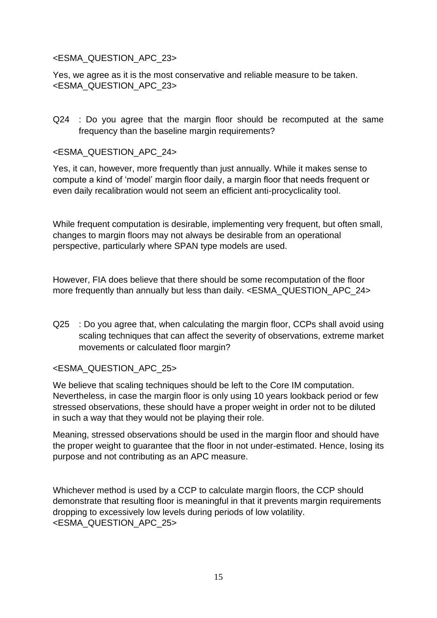#### <ESMA\_QUESTION\_APC\_23>

Yes, we agree as it is the most conservative and reliable measure to be taken. <ESMA\_QUESTION\_APC\_23>

Q24 : Do you agree that the margin floor should be recomputed at the same frequency than the baseline margin requirements?

#### <ESMA\_QUESTION\_APC\_24>

Yes, it can, however, more frequently than just annually. While it makes sense to compute a kind of 'model' margin floor daily, a margin floor that needs frequent or even daily recalibration would not seem an efficient anti-procyclicality tool.

While frequent computation is desirable, implementing very frequent, but often small, changes to margin floors may not always be desirable from an operational perspective, particularly where SPAN type models are used.

However, FIA does believe that there should be some recomputation of the floor more frequently than annually but less than daily. <ESMA\_QUESTION\_APC\_24>

Q25 : Do you agree that, when calculating the margin floor, CCPs shall avoid using scaling techniques that can affect the severity of observations, extreme market movements or calculated floor margin?

### <ESMA\_QUESTION\_APC\_25>

We believe that scaling techniques should be left to the Core IM computation. Nevertheless, in case the margin floor is only using 10 years lookback period or few stressed observations, these should have a proper weight in order not to be diluted in such a way that they would not be playing their role.

Meaning, stressed observations should be used in the margin floor and should have the proper weight to guarantee that the floor in not under-estimated. Hence, losing its purpose and not contributing as an APC measure.

Whichever method is used by a CCP to calculate margin floors, the CCP should demonstrate that resulting floor is meaningful in that it prevents margin requirements dropping to excessively low levels during periods of low volatility. <ESMA\_QUESTION\_APC\_25>